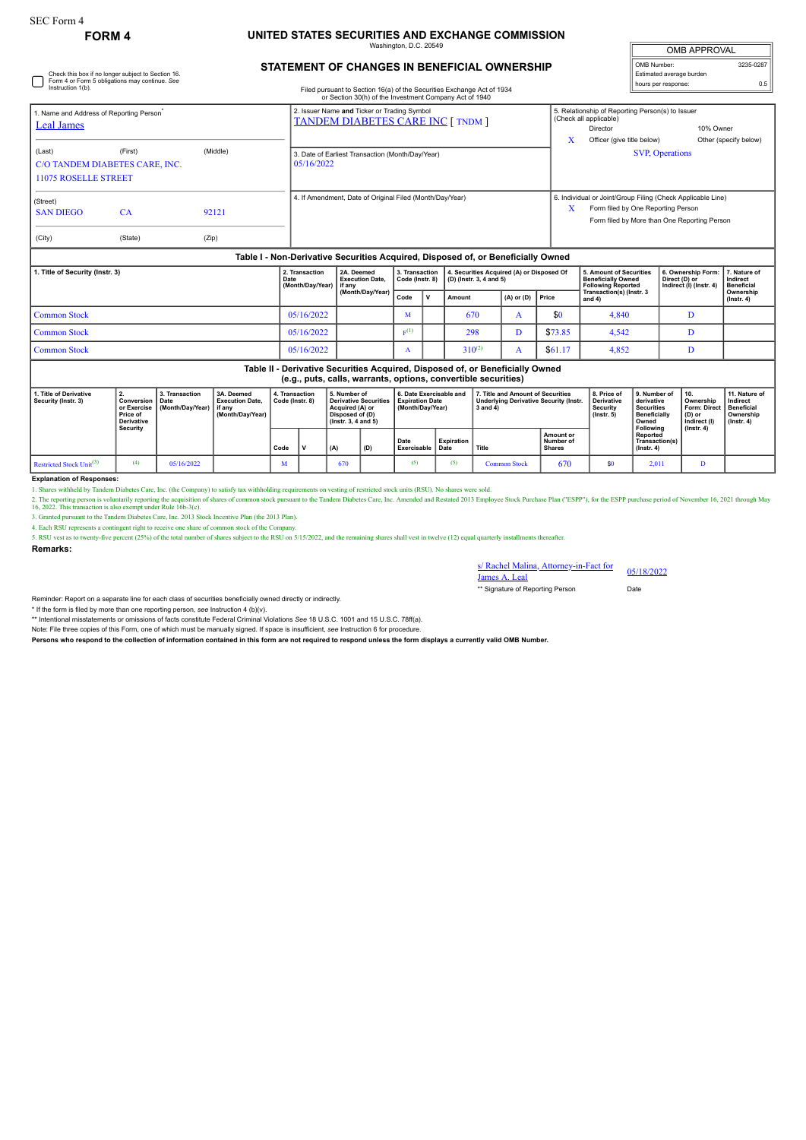Check this box if no longer subject to Section 16. Form 4 or Form 5 obligations may continue. *See* Instruction 1(b).

## **FORM 4 UNITED STATES SECURITIES AND EXCHANGE COMMISSION**

Washington, D.C. 20549

| <b>OMB APPROVAL</b>      |           |  |  |  |  |  |  |
|--------------------------|-----------|--|--|--|--|--|--|
| OMB Number:              | 3235-0287 |  |  |  |  |  |  |
| Estimated average burden |           |  |  |  |  |  |  |
| hours per response:      | 0.5       |  |  |  |  |  |  |

## **STATEMENT OF CHANGES IN BENEFICIAL OWNERSHIP**

Filed pursuant to Section 16(a) of the Securities Exchange Act of 1934

| . Name and Address of Reporting Person <sup>*</sup>                              |           |       | 2. Issuer Name and Ticker or Trading Symbol<br><b>TANDEM DIABETES CARE INC [ TNDM ]</b> | 5. Relationship of Reporting Person(s) to Issuer<br>(Check all applicable) |                                                             |                       |  |  |  |
|----------------------------------------------------------------------------------|-----------|-------|-----------------------------------------------------------------------------------------|----------------------------------------------------------------------------|-------------------------------------------------------------|-----------------------|--|--|--|
| Leal James                                                                       |           |       |                                                                                         |                                                                            | Director                                                    | 10% Owner             |  |  |  |
|                                                                                  |           |       |                                                                                         | x                                                                          | Officer (give title below)                                  | Other (specify below) |  |  |  |
| (Middle)<br>(Last)<br>(First)                                                    |           |       | 3. Date of Earliest Transaction (Month/Day/Year)                                        |                                                                            | <b>SVP, Operations</b>                                      |                       |  |  |  |
| C/O TANDEM DIABETES CARE, INC.                                                   |           |       | 05/16/2022                                                                              |                                                                            |                                                             |                       |  |  |  |
| <b>11075 ROSELLE STREET</b>                                                      |           |       |                                                                                         |                                                                            |                                                             |                       |  |  |  |
| (Street)                                                                         |           |       | 4. If Amendment, Date of Original Filed (Month/Day/Year)                                |                                                                            | 6. Individual or Joint/Group Filing (Check Applicable Line) |                       |  |  |  |
| <b>SAN DIEGO</b>                                                                 | <b>CA</b> | 92121 |                                                                                         | X                                                                          | Form filed by One Reporting Person                          |                       |  |  |  |
|                                                                                  |           |       |                                                                                         |                                                                            | Form filed by More than One Reporting Person                |                       |  |  |  |
| (City)                                                                           | (State)   | (Zip) |                                                                                         |                                                                            |                                                             |                       |  |  |  |
| Table I - Non-Derivative Securities Acquired, Disposed of, or Beneficially Owned |           |       |                                                                                         |                                                                            |                                                             |                       |  |  |  |

| 1. Title of Security (Instr. 3) | 2. Transaction<br>Date<br>(Month/Day/Year) if any | 2A. Deemed<br><b>Execution Date.</b><br>(Month/Day/Year) | 3. Transaction<br>Code (Instr. 8) |              | 4. Securities Acquired (A) or Disposed Of<br>$(D)$ (lnstr. 3, 4 and 5) |                      |         | <b>5. Amount of Securities</b><br><b>Beneficially Owned</b><br><b>Following Reported</b> | 6. Ownership Form: 7. Nature of<br>Direct (D) or<br>Indirect (I) (Instr. 4) | Indirect<br><b>Beneficial</b> |
|---------------------------------|---------------------------------------------------|----------------------------------------------------------|-----------------------------------|--------------|------------------------------------------------------------------------|----------------------|---------|------------------------------------------------------------------------------------------|-----------------------------------------------------------------------------|-------------------------------|
|                                 |                                                   |                                                          | Code                              | $\mathsf{v}$ | Amount                                                                 | $(A)$ or $(D)$ Price |         | Transaction(s) (Instr. 3<br>and 4)                                                       |                                                                             | Ownership<br>$($ lnstr. 4 $)$ |
| Common Stock                    | 05/16/2022                                        |                                                          | M                                 |              | 670                                                                    |                      | \$0     | 4,840                                                                                    |                                                                             |                               |
| Common Stock                    | 05/16/2022                                        |                                                          | E(1)                              |              | 298                                                                    |                      | \$73.85 | 4,542                                                                                    |                                                                             |                               |
| Common Stock                    | 05/16/2022                                        |                                                          |                                   |              | $310^{(2)}$                                                            |                      | \$61.17 | 4,852                                                                                    |                                                                             |                               |

**Table II - Derivative Securities Acquired, Disposed of, or Beneficially Owned (e.g., puts, calls, warrants, options, convertible securities)**

|                                               | (aigi) bara) amin'i irmininal abriantal aanin'nina aaamininal   |                                            |                                                                      |                                   |  |                                                                                                                 |     |                                                                |                    |                                                                                                |                                         |                                                                  |                                                                                              |                                                                         |                                                                          |
|-----------------------------------------------|-----------------------------------------------------------------|--------------------------------------------|----------------------------------------------------------------------|-----------------------------------|--|-----------------------------------------------------------------------------------------------------------------|-----|----------------------------------------------------------------|--------------------|------------------------------------------------------------------------------------------------|-----------------------------------------|------------------------------------------------------------------|----------------------------------------------------------------------------------------------|-------------------------------------------------------------------------|--------------------------------------------------------------------------|
| 1. Title of Derivative<br>Security (Instr. 3) | Conversion<br>or Exercise<br>Price of<br>Derivative<br>Security | 3. Transaction<br>Date<br>(Month/Day/Year) | 3A. Deemed<br><b>Execution Date.</b><br>l if anv<br>(Month/Dav/Year) | 4. Transaction<br>Code (Instr. 8) |  | 5. Number of<br><b>Derivative Securities</b><br>Acquired (A) or<br>Disposed of (D)<br>$($ lnstr. 3. 4 and 5 $)$ |     | 6. Date Exercisable and<br>Expiration Date<br>(Month/Dav/Year) |                    | 7. Title and Amount of Securities<br><b>Underlying Derivative Security (Instr.</b><br>3 and 4) |                                         | 8. Price of<br>Derivative<br><b>Security</b><br>$($ lnstr $, 5)$ | 9. Number of<br>derivative<br><b>Securities</b><br><b>Beneficially</b><br>Owned<br>Following | <sup>1</sup> 10.<br>Ownership<br>Form: Direct<br>(D) or<br>Indirect (I) | 11. Nature of<br>Indirect<br>Beneficial<br>Ownership<br>$($ lnstr. 4 $)$ |
|                                               |                                                                 |                                            |                                                                      | Code                              |  | (A)                                                                                                             | (D) | Date<br>Exercisable                                            | Expiration<br>Date | Title                                                                                          | Amount or<br>Number of<br><b>Shares</b> |                                                                  | Reported<br>Transaction(s)<br>$($ lnstr, 4 $)$                                               | $($ lnstr. 4 $)$                                                        |                                                                          |
| Restricted Stock Unit <sup>(3)</sup>          |                                                                 | 05/16/2022                                 |                                                                      | M                                 |  | 670                                                                                                             |     |                                                                | (5)                | <b>Common Stock</b>                                                                            | 670                                     | \$0                                                              | 2.011                                                                                        |                                                                         |                                                                          |

**Explanation of Responses:**

1. Shares withheld by Tandem Diabetes Care, Inc. (the Company) to satisfy tax withholding requirements on vesting of restricted stock units (RSU). No shares were sold.

2. The reporting person is voluntarily reporting the acquisition of shares of common stock pursuant to the Tandem Diabetes Care, Inc. Amended and Restated 2013 Employee Stock Purchase Plan ("ESPP"), for the ESPP purchase p

4. Each RSU represents a contingent right to receive one share of common stock of the Compa

5. RSU vest as to twenty-five percent (25%) of the total number of shares subject to the RSU on 5/15/2022, and the remaining shares shall vest in twelve (12) equal quarterly installments thereafter.

**Remarks:**

s/ Rachel Malina, Attorney-in-Fact for 05/18/2022<br>James A. Leal \*\* Signature of Reporting Person Date

Reminder: Report on a separate line for each class of securities beneficially owned directly or indirectly.

\* If the form is filed by more than one reporting person, see Instruction 4 (b)(v).<br>\*\* Intentional misstatements or omissions of facts constitute Federal Criminal Violations See 18 U.S.C. 1001 and 15 U.S.C. 78ff(a).

Note: File three copies of this Form, one of which must be manually signed. If space is insufficient, *see* Instruction 6 for procedure.

**Persons who respond to the collection of information contained in this form are not required to respond unless the form displays a currently valid OMB Number.**